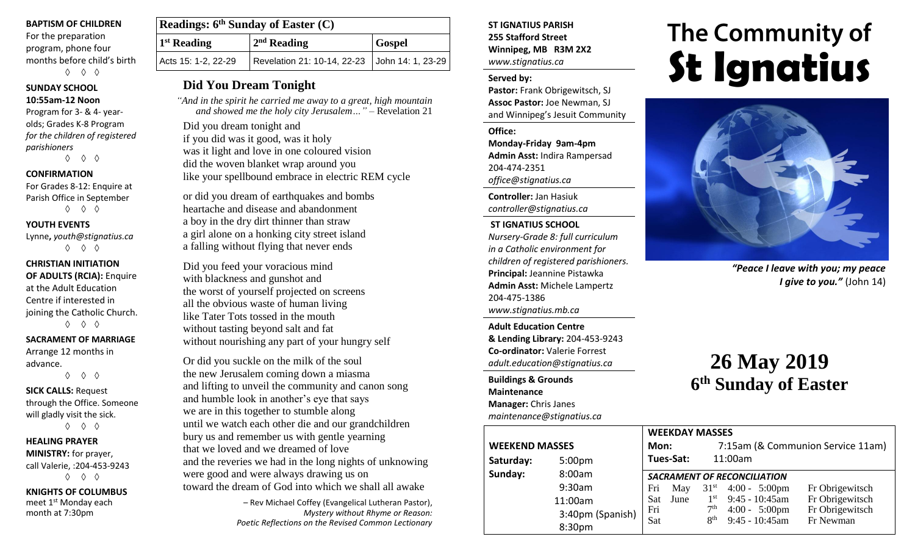#### **BAPTISM OF CHILDREN**

For the preparation program, phone four months before child's birth ◊ ◊ ◊

#### **SUNDAY SCHOOL**

#### **10:55am-12 Noon**

Program for 3- & 4- yearolds; Grades K-8 Program *for the children of registered parishioners*

◊ ◊ ◊

#### **CONFIRMATION**

For Grades 8-12: Enquire at Parish Office in September ◊ ◊ ◊

#### **YOUTH EVENTS**

Lynne**,** *youth@stignatius.ca* ◊ ◊ ◊

```
CHRISTIAN INITIATION 
OF ADULTS (RCIA): Enquire 
at the Adult Education 
Centre if interested in 
joining the Catholic Church.
         ◊ ◊ ◊
```
#### **SACRAMENT OF MARRIAGE**

Arrange 12 months in advance.

◊ ◊ ◊

**SICK CALLS:** Request through the Office. Someone will gladly visit the sick. ◊ ◊ ◊

#### **HEALING PRAYER**

**MINISTRY:** for prayer, call Valerie, :204-453-9243 ◊ ◊ ◊

**KNIGHTS OF COLUMBUS** meet 1<sup>st</sup> Monday each

month at 7:30pm

| Readings: $6th$ Sunday of Easter (C) |                                               |               |  |  |  |
|--------------------------------------|-----------------------------------------------|---------------|--|--|--|
| $1st$ Reading                        | $2nd$ Reading                                 | <b>Gospel</b> |  |  |  |
| Acts 15: 1-2, 22-29                  | Revelation 21: 10-14, 22-23 John 14: 1, 23-29 |               |  |  |  |

## **Did You Dream Tonight**

 *"And in the spirit he carried me away to a great, high mountain and showed me the holy city Jerusalem…"* – Revelation 21

Did you dream tonight and if you did was it good, was it holy was it light and love in one coloured vision did the woven blanket wrap around you like your spellbound embrace in electric REM cycle

or did you dream of earthquakes and bombs heartache and disease and abandonment a boy in the dry dirt thinner than straw a girl alone on a honking city street island a falling without flying that never ends

Did you feed your voracious mind with blackness and gunshot and the worst of yourself projected on screens all the obvious waste of human living like Tater Tots tossed in the mouth without tasting beyond salt and fat without nourishing any part of your hungry self

Or did you suckle on the milk of the soul the new Jerusalem coming down a miasma and lifting to unveil the community and canon song and humble look in another's eye that says we are in this together to stumble along until we watch each other die and our grandchildren bury us and remember us with gentle yearning that we loved and we dreamed of love and the reveries we had in the long nights of unknowing were good and were always drawing us on toward the dream of God into which we shall all awake

> – Rev Michael Coffey (Evangelical Lutheran Pastor), *Mystery without Rhyme or Reason: Poetic Reflections on the Revised Common Lectionary*

#### **ST IGNATIUS PARISH 255 Stafford Street Winnipeg, MB R3M 2X2** *www.stignatius.ca*

#### **Served by:**

**Pastor:** Frank Obrigewitsch, SJ **Assoc Pastor:** Joe Newman, SJ and Winnipeg's Jesuit Community

**Office: Monday-Friday 9am-4pm Admin Asst:** Indira Rampersad 204-474-2351 *office@stignatius.ca*

**Controller:** Jan Hasiuk *controller@stignatius.ca*

#### **ST IGNATIUS SCHOOL**

*Nursery-Grade 8: full curriculum in a Catholic environment for children of registered parishioners.* **Principal:** Jeannine Pistawka **Admin Asst:** Michele Lampertz 204-475-1386 *www.stignatius.mb.ca*

**Adult Education Centre & Lending Library:** 204-453-9243 **Co-ordinator:** Valerie Forrest *adult.education@stignatius.ca*

**Buildings & Grounds Maintenance Manager:** Chris Janes *maintenance@stignatius.ca*

# The Community of **St Ignatius**



*"Peace I leave with you; my peace I give to you."* (John 14)

# **26 May 2019 6 th Sunday of Easter**

|                       |                    |                                    | <b>WEEKDAY MASSES</b> |                 |                                   |                 |  |
|-----------------------|--------------------|------------------------------------|-----------------------|-----------------|-----------------------------------|-----------------|--|
| <b>WEEKEND MASSES</b> |                    |                                    | Mon:                  |                 | 7:15am (& Communion Service 11am) |                 |  |
| Saturday:             | 5:00 <sub>pm</sub> | Tues-Sat:                          |                       |                 | 11:00am                           |                 |  |
| Sunday:               | 8:00am             | <b>SACRAMENT OF RECONCILIATION</b> |                       |                 |                                   |                 |  |
|                       | 9:30am             | Fri                                | May                   |                 | $31st$ 4:00 - 5:00pm              | Fr Obrigewitsch |  |
|                       | 11:00am            | <b>Sat</b>                         | June                  | $1^{\rm st}$    | $9:45 - 10:45$ am                 | Fr Obrigewitsch |  |
|                       | 3:40pm (Spanish)   | Fri                                |                       | 7 <sup>th</sup> | $4:00 - 5:00 \text{pm}$           | Fr Obrigewitsch |  |
|                       | 8:30pm             | Sat                                |                       | 8 <sup>th</sup> | $9:45 - 10:45$ am                 | Fr Newman       |  |